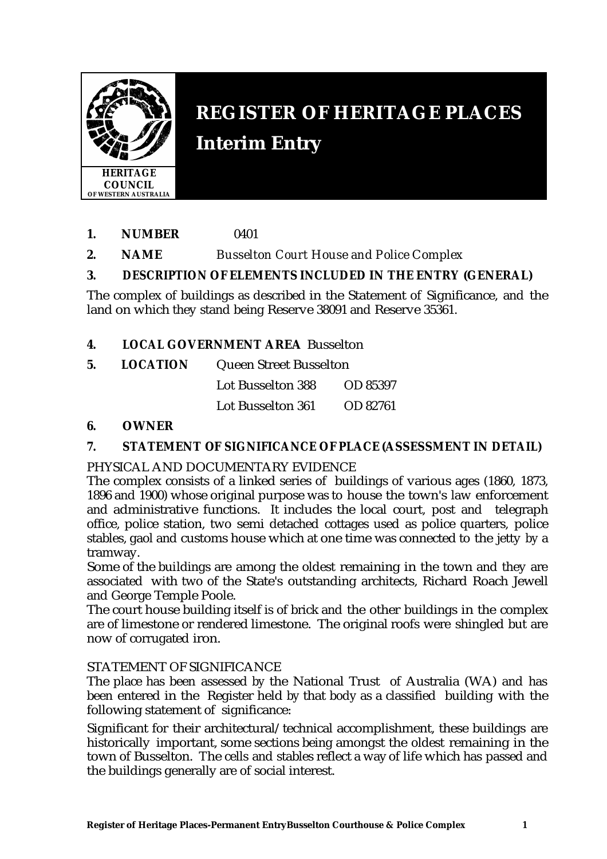

# **REGISTER OF HERITAGE PLACES Interim Entry**

- **1. NUMBER** 0401
- **2. NAME** *Busselton Court House and Police Complex*

## **3. DESCRIPTION OF ELEMENTS INCLUDED IN THE ENTRY (GENERAL)**

The complex of buildings as described in the Statement of Significance, and the land on which they stand being Reserve 38091 and Reserve 35361.

## **4. LOCAL GOVERNMENT AREA** Busselton

**5. LOCATION** Queen Street Busselton

Lot Busselton 388 OD 85397

Lot Busselton 361 OD 82761

#### **6. OWNER**

## **7. STATEMENT OF SIGNIFICANCE OF PLACE (ASSESSMENT IN DETAIL)**

#### PHYSICAL AND DOCUMENTARY EVIDENCE

The complex consists of a linked series of buildings of various ages (1860, 1873, 1896 and 1900) whose original purpose was to house the town's law enforcement and administrative functions. It includes the local court, post and telegraph office, police station, two semi detached cottages used as police quarters, police stables, gaol and customs house which at one time was connected to the jetty by a tramway.

Some of the buildings are among the oldest remaining in the town and they are associated with two of the State's outstanding architects, Richard Roach Jewell and George Temple Poole.

The court house building itself is of brick and the other buildings in the complex are of limestone or rendered limestone. The original roofs were shingled but are now of corrugated iron.

#### STATEMENT OF SIGNIFICANCE

The place has been assessed by the National Trust of Australia (WA) and has been entered in the Register held by that body as a classified building with the following statement of significance:

Significant for their architectural/technical accomplishment, these buildings are historically important, some sections being amongst the oldest remaining in the town of Busselton. The cells and stables reflect a way of life which has passed and the buildings generally are of social interest.